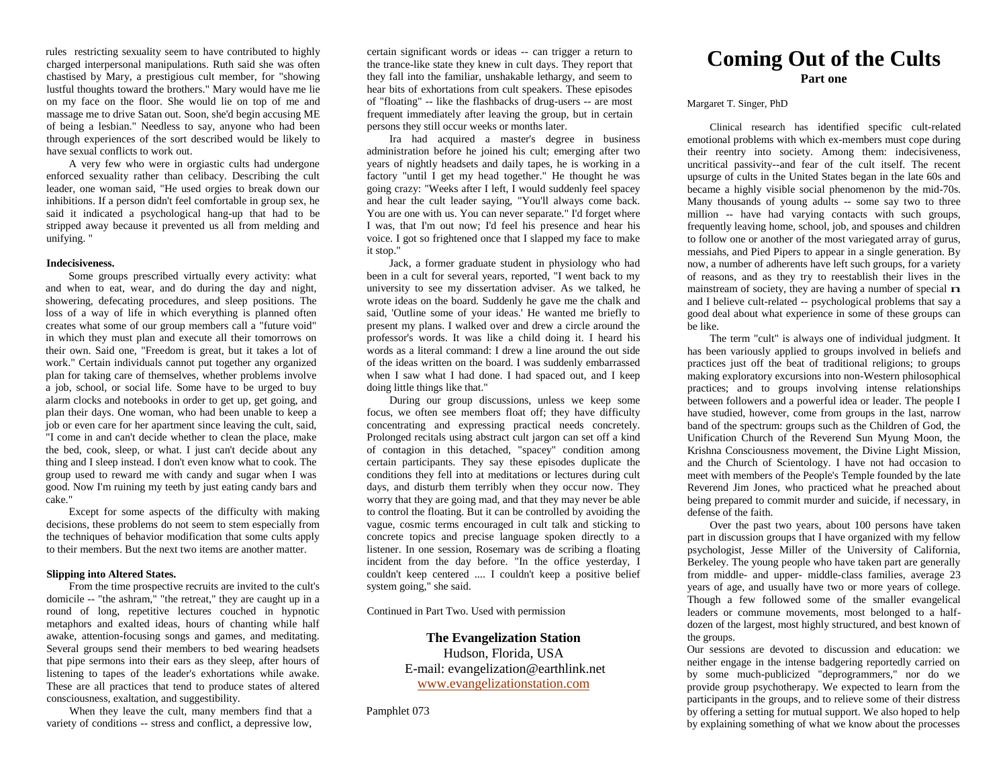rules restricting sexuality seem to have contributed to highly charged interpersonal manipulations. Ruth said she was often chastised by Mary, a prestigious cult member, for "showing lustful thoughts toward the brothers." Mary would have me lie on my face on the floor. She would lie on top of me and massage me to drive Satan out. Soon, she'd begin accusing ME of being a lesbian." Needless to say, anyone who had been through experiences of the sort described would be likely to have sexual conflicts to work out.

A very few who were in orgiastic cults had undergone enforced sexuality rather than celibacy. Describing the cult leader, one woman said, "He used orgies to break down our inhibitions. If a person didn't feel comfortable in group sex, he said it indicated a psychological hang-up that had to be stripped away because it prevented us all from melding and unifying. "

#### **Indecisiveness.**

Some groups prescribed virtually every activity: what and when to eat, wear, and do during the day and night, showering, defecating procedures, and sleep positions. The loss of a way of life in which everything is planned often creates what some of our group members call a "future void" in which they must plan and execute all their tomorrows on their own. Said one, "Freedom is great, but it takes a lot of work." Certain individuals cannot put together any organized plan for taking care of themselves, whether problems involve a job, school, or social life. Some have to be urged to buy alarm clocks and notebooks in order to get up, get going, and plan their days. One woman, who had been unable to keep a job or even care for her apartment since leaving the cult, said, "I come in and can't decide whether to clean the place, make the bed, cook, sleep, or what. I just can't decide about any thing and I sleep instead. I don't even know what to cook. The group used to reward me with candy and sugar when I was good. Now I'm ruining my teeth by just eating candy bars and cake."

Except for some aspects of the difficulty with making decisions, these problems do not seem to stem especially from the techniques of behavior modification that some cults apply to their members. But the next two items are another matter.

## **Slipping into Altered States.**

From the time prospective recruits are invited to the cult's domicile -- "the ashram," "the retreat," they are caught up in a round of long, repetitive lectures couched in hypnotic metaphors and exalted ideas, hours of chanting while half awake, attention-focusing songs and games, and meditating. Several groups send their members to bed wearing headsets that pipe sermons into their ears as they sleep, after hours of listening to tapes of the leader's exhortations while awake. These are all practices that tend to produce states of altered consciousness, exaltation, and suggestibility.

When they leave the cult, many members find that a variety of conditions -- stress and conflict, a depressive low,

certain significant words or ideas -- can trigger a return to the trance-like state they knew in cult days. They report that they fall into the familiar, unshakable lethargy, and seem to hear bits of exhortations from cult speakers. These episodes of "floating" -- like the flashbacks of drug-users -- are most frequent immediately after leaving the group, but in certain persons they still occur weeks or months later.

Ira had acquired a master's degree in business administration before he joined his cult; emerging after two years of nightly headsets and daily tapes, he is working in a factory "until I get my head together." He thought he was going crazy: "Weeks after I left, I would suddenly feel spacey and hear the cult leader saying, "You'll always come back. You are one with us. You can never separate." I'd forget where I was, that I'm out now; I'd feel his presence and hear his voice. I got so frightened once that I slapped my face to make it stop."

Jack, a former graduate student in physiology who had been in a cult for several years, reported, "I went back to my university to see my dissertation adviser. As we talked, he wrote ideas on the board. Suddenly he gave me the chalk and said, 'Outline some of your ideas.' He wanted me briefly to present my plans. I walked over and drew a circle around the professor's words. It was like a child doing it. I heard his words as a literal command: I drew a line around the out side of the ideas written on the board. I was suddenly embarrassed when I saw what I had done. I had spaced out, and I keep doing little things like that."

During our group discussions, unless we keep some focus, we often see members float off; they have difficulty concentrating and expressing practical needs concretely. Prolonged recitals using abstract cult jargon can set off a kind of contagion in this detached, "spacey" condition among certain participants. They say these episodes duplicate the conditions they fell into at meditations or lectures during cult days, and disturb them terribly when they occur now. They worry that they are going mad, and that they may never be able to control the floating. But it can be controlled by avoiding the vague, cosmic terms encouraged in cult talk and sticking to concrete topics and precise language spoken directly to a listener. In one session, Rosemary was de scribing a floating incident from the day before. "In the office yesterday, I couldn't keep centered .... I couldn't keep a positive belief system going," she said.

Continued in Part Two. Used with permission

**The Evangelization Station** Hudson, Florida, USA E-mail: evangelization@earthlink.net [www.evangelizationstation.com](http://www.pjpiisoe.org/)

Pamphlet 073

# **Coming Out of the Cults Part one**

### Margaret T. Singer, PhD

Clinical research has identified specific cult-related emotional problems with which ex-members must cope during their reentry into society. Among them: indecisiveness, uncritical passivity--and fear of the cult itself. The recent upsurge of cults in the United States began in the late 60s and became a highly visible social phenomenon by the mid-70s. Many thousands of young adults -- some say two to three million -- have had varying contacts with such groups, frequently leaving home, school, job, and spouses and children to follow one or another of the most variegated array of gurus, messiahs, and Pied Pipers to appear in a single generation. By now, a number of adherents have left such groups, for a variety of reasons, and as they try to reestablish their lives in the mainstream of society, they are having a number of special  $\mathbf n$ and I believe cult-related -- psychological problems that say a good deal about what experience in some of these groups can be like.

The term "cult" is always one of individual judgment. It has been variously applied to groups involved in beliefs and practices just off the beat of traditional religions; to groups making exploratory excursions into non-Western philosophical practices; and to groups involving intense relationships between followers and a powerful idea or leader. The people I have studied, however, come from groups in the last, narrow band of the spectrum: groups such as the Children of God, the Unification Church of the Reverend Sun Myung Moon, the Krishna Consciousness movement, the Divine Light Mission, and the Church of Scientology. I have not had occasion to meet with members of the People's Temple founded by the late Reverend Jim Jones, who practiced what he preached about being prepared to commit murder and suicide, if necessary, in defense of the faith.

Over the past two years, about 100 persons have taken part in discussion groups that I have organized with my fellow psychologist, Jesse Miller of the University of California, Berkeley. The young people who have taken part are generally from middle- and upper- middle-class families, average 23 years of age, and usually have two or more years of college. Though a few followed some of the smaller evangelical leaders or commune movements, most belonged to a halfdozen of the largest, most highly structured, and best known of the groups.

Our sessions are devoted to discussion and education: we neither engage in the intense badgering reportedly carried on by some much-publicized "deprogrammers," nor do we provide group psychotherapy. We expected to learn from the participants in the groups, and to relieve some of their distress by offering a setting for mutual support. We also hoped to help by explaining something of what we know about the processes